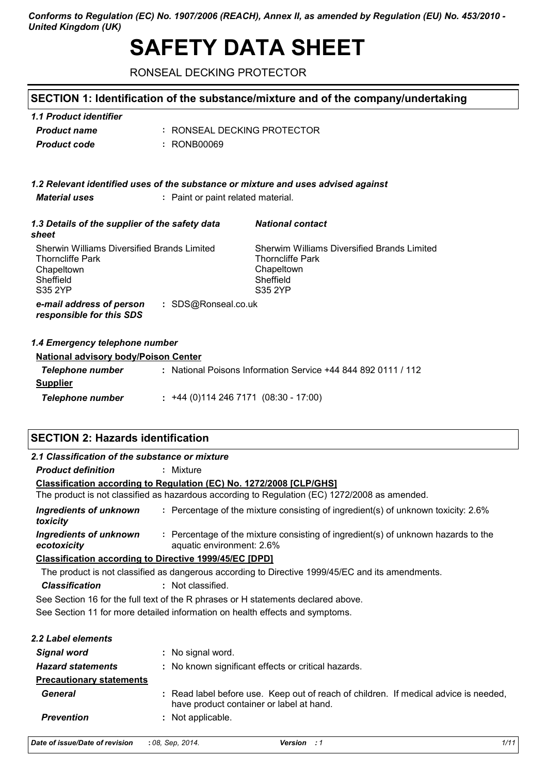*Conforms to Regulation (EC) No. 1907/2006 (REACH), Annex II, as amended by Regulation (EU) No. 453/2010 - United Kingdom (UK)*

# **SAFETY DATA SHEET**

RONSEAL DECKING PROTECTOR

# **SECTION 1: Identification of the substance/mixture and of the company/undertaking**

| 1.1 Product identifier |                             |
|------------------------|-----------------------------|
| <b>Product name</b>    | : RONSEAL DECKING PROTECTOR |
| <b>Product code</b>    | : RONB00069                 |

#### *1.2 Relevant identified uses of the substance or mixture and uses advised against*

*Material uses* **:** Paint or paint related material.

| 1.3 Details of the supplier of the safety data<br>sheet                                                      | <b>National contact</b>                                                                                      |
|--------------------------------------------------------------------------------------------------------------|--------------------------------------------------------------------------------------------------------------|
| Sherwin Williams Diversified Brands Limited<br><b>Thorncliffe Park</b><br>Chapeltown<br>Sheffield<br>S35 2YP | Sherwim Williams Diversified Brands Limited<br><b>Thorncliffe Park</b><br>Chapeltown<br>Sheffield<br>S35 2YP |
| : SDS@Ronseal.co.uk<br>e-mail address of person<br>responsible for this SDS                                  |                                                                                                              |

#### *1.4 Emergency telephone number*

| <b>National advisory body/Poison Center</b> |                                                             |  |
|---------------------------------------------|-------------------------------------------------------------|--|
| Telephone number                            | National Poisons Information Service +44 844 892 0111 / 112 |  |
| <b>Supplier</b>                             |                                                             |  |
| <b>Telephone number</b>                     | $\div$ +44 (0)114 246 7171 (08:30 - 17:00)                  |  |

# **SECTION 2: Hazards identification**

| 2.1 Classification of the substance or mixture |                                                                                                                                  |
|------------------------------------------------|----------------------------------------------------------------------------------------------------------------------------------|
| <b>Product definition</b>                      | : Mixture                                                                                                                        |
|                                                | Classification according to Regulation (EC) No. 1272/2008 [CLP/GHS]                                                              |
|                                                | The product is not classified as hazardous according to Regulation (EC) 1272/2008 as amended.                                    |
| Ingredients of unknown<br>toxicity             | : Percentage of the mixture consisting of ingredient(s) of unknown toxicity: 2.6%                                                |
| Ingredients of unknown<br>ecotoxicity          | : Percentage of the mixture consisting of ingredient(s) of unknown hazards to the<br>aquatic environment: 2.6%                   |
|                                                | <b>Classification according to Directive 1999/45/EC [DPD]</b>                                                                    |
|                                                | The product is not classified as dangerous according to Directive 1999/45/EC and its amendments.                                 |
| <b>Classification</b>                          | : Not classified.                                                                                                                |
|                                                | See Section 16 for the full text of the R phrases or H statements declared above.                                                |
|                                                | See Section 11 for more detailed information on health effects and symptoms.                                                     |
| 2.2 Label elements                             |                                                                                                                                  |
| <b>Signal word</b>                             | : No signal word.                                                                                                                |
| <b>Hazard statements</b>                       | : No known significant effects or critical hazards.                                                                              |
| <b>Precautionary statements</b>                |                                                                                                                                  |
| General                                        | : Read label before use. Keep out of reach of children. If medical advice is needed,<br>have product container or label at hand. |
| <b>Prevention</b>                              | : Not applicable.                                                                                                                |

| Date of issue/Date of revision : 08, Sep. 2014. |  | <b>Version</b> : 1 | 1/11 |
|-------------------------------------------------|--|--------------------|------|
|-------------------------------------------------|--|--------------------|------|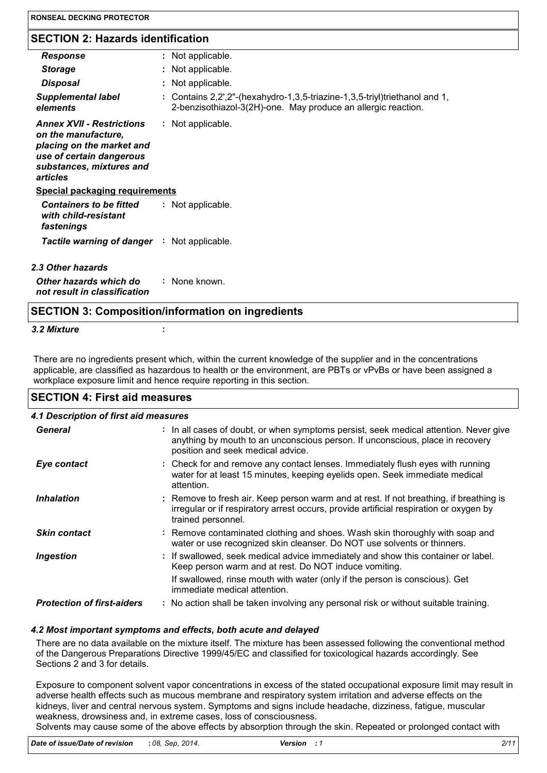| <b>Response</b>                                                                                                                                          | : Not applicable.                                                                                                                           |
|----------------------------------------------------------------------------------------------------------------------------------------------------------|---------------------------------------------------------------------------------------------------------------------------------------------|
| <b>Storage</b>                                                                                                                                           | : Not applicable.                                                                                                                           |
| <b>Disposal</b>                                                                                                                                          | : Not applicable.                                                                                                                           |
| <b>Supplemental label</b><br>elements                                                                                                                    | : Contains 2,2',2"-(hexahydro-1,3,5-triazine-1,3,5-triyl)triethanol and 1,<br>2-benzisothiazol-3(2H)-one. May produce an allergic reaction. |
| <b>Annex XVII - Restrictions</b><br>on the manufacture,<br>placing on the market and<br>use of certain dangerous<br>substances, mixtures and<br>articles | : Not applicable.                                                                                                                           |
| <b>Special packaging requirements</b>                                                                                                                    |                                                                                                                                             |
| <b>Containers to be fitted</b><br>with child-resistant<br>fastenings                                                                                     | : Not applicable.                                                                                                                           |
| <b>Tactile warning of danger : Not applicable.</b>                                                                                                       |                                                                                                                                             |
| 2.3 Other hazards                                                                                                                                        |                                                                                                                                             |
| Other hazards which do<br>not result in classification                                                                                                   | : None known.                                                                                                                               |

### **SECTION 3: Composition/information on ingredients**

#### *3.2 Mixture* **:**

There are no ingredients present which, within the current knowledge of the supplier and in the concentrations applicable, are classified as hazardous to health or the environment, are PBTs or vPvBs or have been assigned a workplace exposure limit and hence require reporting in this section.

#### **SECTION 4: First aid measures**

| 4.1 Description of first aid measures |                                                                                                                                                                                                             |
|---------------------------------------|-------------------------------------------------------------------------------------------------------------------------------------------------------------------------------------------------------------|
| General                               | : In all cases of doubt, or when symptoms persist, seek medical attention. Never give<br>anything by mouth to an unconscious person. If unconscious, place in recovery<br>position and seek medical advice. |
| Eye contact                           | : Check for and remove any contact lenses. Immediately flush eyes with running<br>water for at least 15 minutes, keeping eyelids open. Seek immediate medical<br>attention.                                 |
| <b>Inhalation</b>                     | : Remove to fresh air. Keep person warm and at rest. If not breathing, if breathing is<br>irregular or if respiratory arrest occurs, provide artificial respiration or oxygen by<br>trained personnel.      |
| <b>Skin contact</b>                   | : Remove contaminated clothing and shoes. Wash skin thoroughly with soap and<br>water or use recognized skin cleanser. Do NOT use solvents or thinners.                                                     |
| <b>Ingestion</b>                      | : If swallowed, seek medical advice immediately and show this container or label.<br>Keep person warm and at rest. Do NOT induce vomiting.                                                                  |
|                                       | If swallowed, rinse mouth with water (only if the person is conscious). Get<br>immediate medical attention.                                                                                                 |
| <b>Protection of first-aiders</b>     | : No action shall be taken involving any personal risk or without suitable training.                                                                                                                        |
|                                       |                                                                                                                                                                                                             |

#### *4.2 Most important symptoms and effects, both acute and delayed*

There are no data available on the mixture itself. The mixture has been assessed following the conventional method of the Dangerous Preparations Directive 1999/45/EC and classified for toxicological hazards accordingly. See Sections 2 and 3 for details.

Exposure to component solvent vapor concentrations in excess of the stated occupational exposure limit may result in adverse health effects such as mucous membrane and respiratory system irritation and adverse effects on the kidneys, liver and central nervous system. Symptoms and signs include headache, dizziness, fatigue, muscular weakness, drowsiness and, in extreme cases, loss of consciousness.

Solvents may cause some of the above effects by absorption through the skin. Repeated or prolonged contact with

*Date of issue/Date of revision* **:** *08, Sep, 2014. Version : 1 2/11*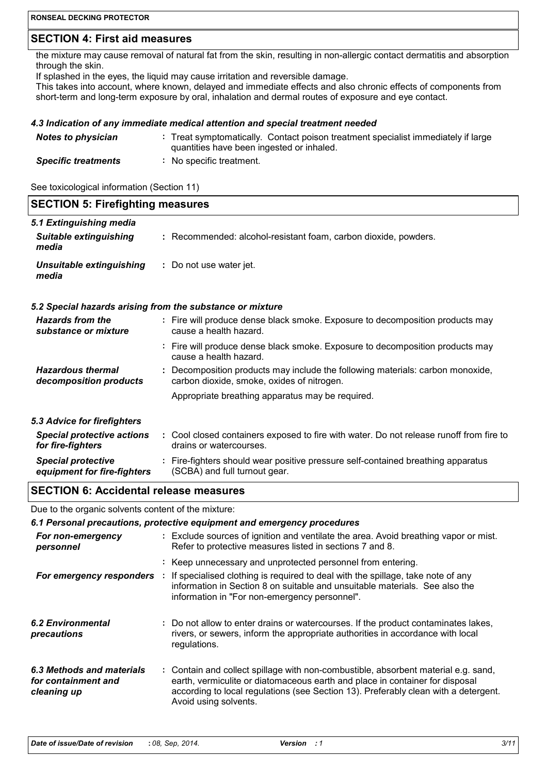### **SECTION 4: First aid measures**

the mixture may cause removal of natural fat from the skin, resulting in non-allergic contact dermatitis and absorption through the skin.

If splashed in the eyes, the liquid may cause irritation and reversible damage.

This takes into account, where known, delayed and immediate effects and also chronic effects of components from short-term and long-term exposure by oral, inhalation and dermal routes of exposure and eye contact.

#### *4.3 Indication of any immediate medical attention and special treatment needed*

| <b>Notes to physician</b>  | : Treat symptomatically. Contact poison treatment specialist immediately if large<br>quantities have been ingested or inhaled. |
|----------------------------|--------------------------------------------------------------------------------------------------------------------------------|
| <b>Specific treatments</b> | No specific treatment.                                                                                                         |

See toxicological information (Section 11)

| <b>SECTION 5: Firefighting measures</b> |                                                                 |
|-----------------------------------------|-----------------------------------------------------------------|
| 5.1 Extinguishing media                 |                                                                 |
| <b>Suitable extinguishing</b><br>media  | : Recommended: alcohol-resistant foam, carbon dioxide, powders. |
| Unsuitable extinguishing<br>media       | : Do not use water jet.                                         |

#### *5.2 Special hazards arising from the substance or mixture*

| <b>Hazards from the</b>           | : Fire will produce dense black smoke. Exposure to decomposition products may                           |
|-----------------------------------|---------------------------------------------------------------------------------------------------------|
| substance or mixture              | cause a health hazard.                                                                                  |
|                                   | : Fire will produce dense black smoke. Exposure to decomposition products may<br>cause a health hazard. |
| <b>Hazardous thermal</b>          | : Decomposition products may include the following materials: carbon monoxide,                          |
| decomposition products            | carbon dioxide, smoke, oxides of nitrogen.                                                              |
|                                   | Appropriate breathing apparatus may be required.                                                        |
| 5.3 Advice for firefighters       |                                                                                                         |
| <b>Special protective actions</b> | : Cool closed containers exposed to fire with water. Do not release runoff from fire to                 |
| for fire-fighters                 | drains or watercourses.                                                                                 |
| <b>Special protective</b>         | : Fire-fighters should wear positive pressure self-contained breathing apparatus                        |
| equipment for fire-fighters       | (SCBA) and full turnout gear.                                                                           |

#### **SECTION 6: Accidental release measures**

Due to the organic solvents content of the mixture:

#### *6.1 Personal precautions, protective equipment and emergency procedures*

| For non-emergency<br>personnel                                  | : Exclude sources of ignition and ventilate the area. Avoid breathing vapor or mist.<br>Refer to protective measures listed in sections 7 and 8.                                                                                                                                   |
|-----------------------------------------------------------------|------------------------------------------------------------------------------------------------------------------------------------------------------------------------------------------------------------------------------------------------------------------------------------|
| For emergency responders                                        | : Keep unnecessary and unprotected personnel from entering.<br>If specialised clothing is required to deal with the spillage, take note of any<br>information in Section 8 on suitable and unsuitable materials. See also the<br>information in "For non-emergency personnel".     |
| <b>6.2 Environmental</b><br>precautions                         | : Do not allow to enter drains or watercourses. If the product contaminates lakes,<br>rivers, or sewers, inform the appropriate authorities in accordance with local<br>regulations.                                                                                               |
| 6.3 Methods and materials<br>for containment and<br>cleaning up | : Contain and collect spillage with non-combustible, absorbent material e.g. sand,<br>earth, vermiculite or diatomaceous earth and place in container for disposal<br>according to local regulations (see Section 13). Preferably clean with a detergent.<br>Avoid using solvents. |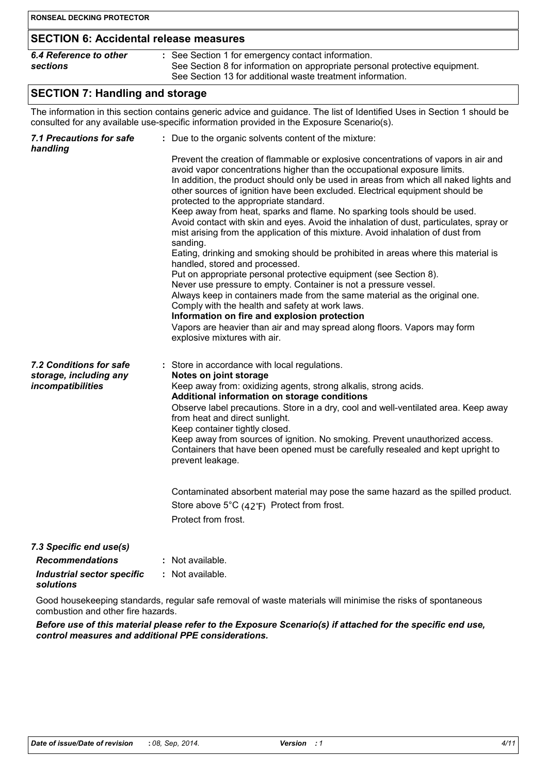| <b>RONSEAL DECKING PROTECTOR</b>                                       |                                                                                                                                                                                                                                                                                                                                                                                                                                                                                                                                                                                                                                                                                                                                                                                                                                                                                                                                                                                                                                                                                                                                                                                                                      |
|------------------------------------------------------------------------|----------------------------------------------------------------------------------------------------------------------------------------------------------------------------------------------------------------------------------------------------------------------------------------------------------------------------------------------------------------------------------------------------------------------------------------------------------------------------------------------------------------------------------------------------------------------------------------------------------------------------------------------------------------------------------------------------------------------------------------------------------------------------------------------------------------------------------------------------------------------------------------------------------------------------------------------------------------------------------------------------------------------------------------------------------------------------------------------------------------------------------------------------------------------------------------------------------------------|
| <b>SECTION 6: Accidental release measures</b>                          |                                                                                                                                                                                                                                                                                                                                                                                                                                                                                                                                                                                                                                                                                                                                                                                                                                                                                                                                                                                                                                                                                                                                                                                                                      |
| 6.4 Reference to other<br>sections                                     | : See Section 1 for emergency contact information.<br>See Section 8 for information on appropriate personal protective equipment.<br>See Section 13 for additional waste treatment information.                                                                                                                                                                                                                                                                                                                                                                                                                                                                                                                                                                                                                                                                                                                                                                                                                                                                                                                                                                                                                      |
| <b>SECTION 7: Handling and storage</b>                                 |                                                                                                                                                                                                                                                                                                                                                                                                                                                                                                                                                                                                                                                                                                                                                                                                                                                                                                                                                                                                                                                                                                                                                                                                                      |
|                                                                        | The information in this section contains generic advice and guidance. The list of Identified Uses in Section 1 should be<br>consulted for any available use-specific information provided in the Exposure Scenario(s).                                                                                                                                                                                                                                                                                                                                                                                                                                                                                                                                                                                                                                                                                                                                                                                                                                                                                                                                                                                               |
| <b>7.1 Precautions for safe</b><br>handling                            | : Due to the organic solvents content of the mixture:                                                                                                                                                                                                                                                                                                                                                                                                                                                                                                                                                                                                                                                                                                                                                                                                                                                                                                                                                                                                                                                                                                                                                                |
|                                                                        | Prevent the creation of flammable or explosive concentrations of vapors in air and<br>avoid vapor concentrations higher than the occupational exposure limits.<br>In addition, the product should only be used in areas from which all naked lights and<br>other sources of ignition have been excluded. Electrical equipment should be<br>protected to the appropriate standard.<br>Keep away from heat, sparks and flame. No sparking tools should be used.<br>Avoid contact with skin and eyes. Avoid the inhalation of dust, particulates, spray or<br>mist arising from the application of this mixture. Avoid inhalation of dust from<br>sanding.<br>Eating, drinking and smoking should be prohibited in areas where this material is<br>handled, stored and processed.<br>Put on appropriate personal protective equipment (see Section 8).<br>Never use pressure to empty. Container is not a pressure vessel.<br>Always keep in containers made from the same material as the original one.<br>Comply with the health and safety at work laws.<br>Information on fire and explosion protection<br>Vapors are heavier than air and may spread along floors. Vapors may form<br>explosive mixtures with air. |
| 7.2 Conditions for safe<br>storage, including any<br>incompatibilities | : Store in accordance with local regulations.<br>Notes on joint storage<br>Keep away from: oxidizing agents, strong alkalis, strong acids.<br>Additional information on storage conditions<br>Observe label precautions. Store in a dry, cool and well-ventilated area. Keep away<br>from heat and direct sunlight.<br>Keep container tightly closed.<br>Keep away from sources of ignition. No smoking. Prevent unauthorized access.<br>Containers that have been opened must be carefully resealed and kept upright to<br>prevent leakage.<br>Contaminated absorbent material may pose the same hazard as the spilled product.<br>Store above $5^{\circ}C$ (42 $^{\circ}F$ ) Protect from frost.<br>Protect from frost.                                                                                                                                                                                                                                                                                                                                                                                                                                                                                            |
| 7.3 Specific end use(s)                                                |                                                                                                                                                                                                                                                                                                                                                                                                                                                                                                                                                                                                                                                                                                                                                                                                                                                                                                                                                                                                                                                                                                                                                                                                                      |
| <b>Recommendations</b>                                                 | : Not available.                                                                                                                                                                                                                                                                                                                                                                                                                                                                                                                                                                                                                                                                                                                                                                                                                                                                                                                                                                                                                                                                                                                                                                                                     |

*Industrial sector specific* **:** : Not available.

# *solutions*

Good housekeeping standards, regular safe removal of waste materials will minimise the risks of spontaneous combustion and other fire hazards.

*Before use of this material please refer to the Exposure Scenario(s) if attached for the specific end use, control measures and additional PPE considerations.*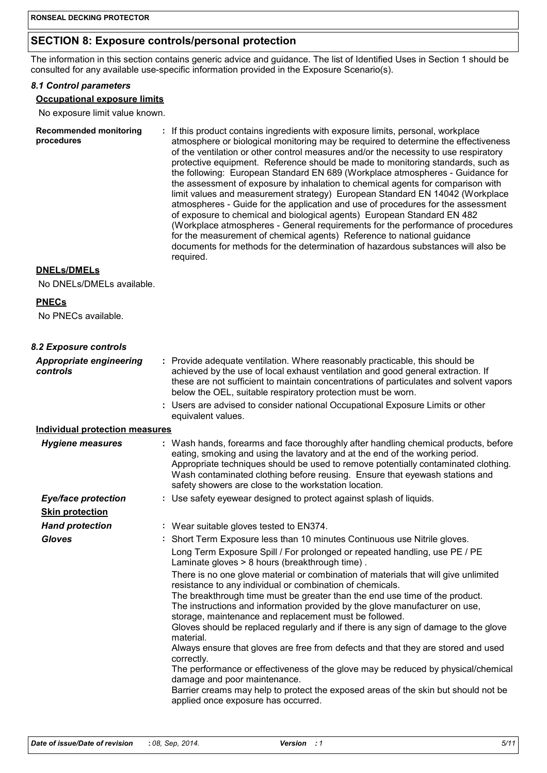# **SECTION 8: Exposure controls/personal protection**

The information in this section contains generic advice and guidance. The list of Identified Uses in Section 1 should be consulted for any available use-specific information provided in the Exposure Scenario(s).

#### *8.1 Control parameters*

#### **Occupational exposure limits**

No exposure limit value known.

| <b>Recommended monitoring</b><br>procedures | : If this product contains ingredients with exposure limits, personal, workplace<br>atmosphere or biological monitoring may be required to determine the effectiveness<br>of the ventilation or other control measures and/or the necessity to use respiratory<br>protective equipment. Reference should be made to monitoring standards, such as<br>the following: European Standard EN 689 (Workplace atmospheres - Guidance for<br>the assessment of exposure by inhalation to chemical agents for comparison with<br>limit values and measurement strategy) European Standard EN 14042 (Workplace<br>atmospheres - Guide for the application and use of procedures for the assessment<br>of exposure to chemical and biological agents) European Standard EN 482<br>(Workplace atmospheres - General requirements for the performance of procedures<br>for the measurement of chemical agents) Reference to national guidance<br>documents for methods for the determination of hazardous substances will also be<br>required. |
|---------------------------------------------|------------------------------------------------------------------------------------------------------------------------------------------------------------------------------------------------------------------------------------------------------------------------------------------------------------------------------------------------------------------------------------------------------------------------------------------------------------------------------------------------------------------------------------------------------------------------------------------------------------------------------------------------------------------------------------------------------------------------------------------------------------------------------------------------------------------------------------------------------------------------------------------------------------------------------------------------------------------------------------------------------------------------------------|
|---------------------------------------------|------------------------------------------------------------------------------------------------------------------------------------------------------------------------------------------------------------------------------------------------------------------------------------------------------------------------------------------------------------------------------------------------------------------------------------------------------------------------------------------------------------------------------------------------------------------------------------------------------------------------------------------------------------------------------------------------------------------------------------------------------------------------------------------------------------------------------------------------------------------------------------------------------------------------------------------------------------------------------------------------------------------------------------|

#### **DNELs/DMELs**

No DNELs/DMELs available.

#### **PNECs**

No PNECs available.

| 8.2 Exposure controls                      |                                                                                                                                                                                                                                                                                                                                                                                                                                                                              |
|--------------------------------------------|------------------------------------------------------------------------------------------------------------------------------------------------------------------------------------------------------------------------------------------------------------------------------------------------------------------------------------------------------------------------------------------------------------------------------------------------------------------------------|
| <b>Appropriate engineering</b><br>controls | : Provide adequate ventilation. Where reasonably practicable, this should be<br>achieved by the use of local exhaust ventilation and good general extraction. If<br>these are not sufficient to maintain concentrations of particulates and solvent vapors<br>below the OEL, suitable respiratory protection must be worn.                                                                                                                                                   |
|                                            | : Users are advised to consider national Occupational Exposure Limits or other<br>equivalent values.                                                                                                                                                                                                                                                                                                                                                                         |
| <b>Individual protection measures</b>      |                                                                                                                                                                                                                                                                                                                                                                                                                                                                              |
| <b>Hygiene measures</b>                    | : Wash hands, forearms and face thoroughly after handling chemical products, before<br>eating, smoking and using the lavatory and at the end of the working period.<br>Appropriate techniques should be used to remove potentially contaminated clothing.<br>Wash contaminated clothing before reusing. Ensure that eyewash stations and<br>safety showers are close to the workstation location.                                                                            |
| <b>Eye/face protection</b>                 | : Use safety eyewear designed to protect against splash of liquids.                                                                                                                                                                                                                                                                                                                                                                                                          |
| <b>Skin protection</b>                     |                                                                                                                                                                                                                                                                                                                                                                                                                                                                              |
| <b>Hand protection</b>                     | : Wear suitable gloves tested to EN374.                                                                                                                                                                                                                                                                                                                                                                                                                                      |
| <b>Gloves</b>                              | : Short Term Exposure less than 10 minutes Continuous use Nitrile gloves.                                                                                                                                                                                                                                                                                                                                                                                                    |
|                                            | Long Term Exposure Spill / For prolonged or repeated handling, use PE / PE<br>Laminate gloves > 8 hours (breakthrough time).                                                                                                                                                                                                                                                                                                                                                 |
|                                            | There is no one glove material or combination of materials that will give unlimited<br>resistance to any individual or combination of chemicals.<br>The breakthrough time must be greater than the end use time of the product.<br>The instructions and information provided by the glove manufacturer on use,<br>storage, maintenance and replacement must be followed.<br>Gloves should be replaced regularly and if there is any sign of damage to the glove<br>material. |
|                                            | Always ensure that gloves are free from defects and that they are stored and used<br>correctly.<br>The performance or effectiveness of the glove may be reduced by physical/chemical<br>damage and poor maintenance.<br>Barrier creams may help to protect the exposed areas of the skin but should not be<br>applied once exposure has occurred.                                                                                                                            |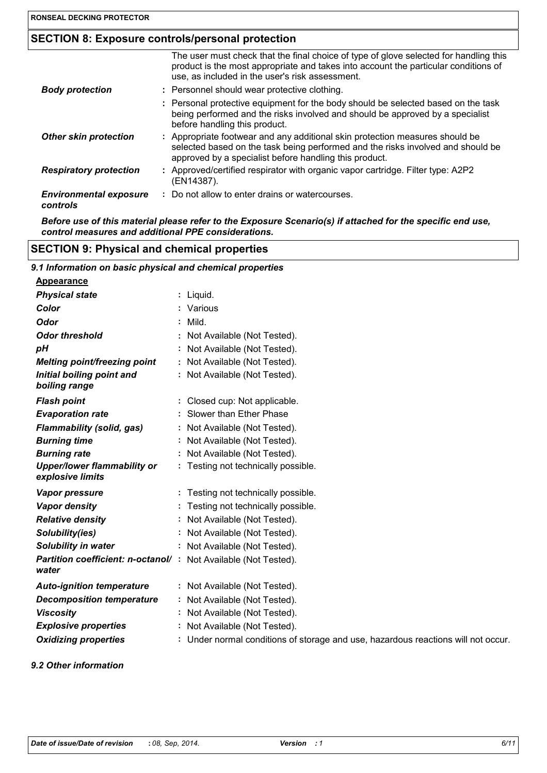# **SECTION 8: Exposure controls/personal protection**

|                                           | The user must check that the final choice of type of glove selected for handling this<br>product is the most appropriate and takes into account the particular conditions of<br>use, as included in the user's risk assessment. |
|-------------------------------------------|---------------------------------------------------------------------------------------------------------------------------------------------------------------------------------------------------------------------------------|
| <b>Body protection</b>                    | : Personnel should wear protective clothing.                                                                                                                                                                                    |
|                                           | : Personal protective equipment for the body should be selected based on the task<br>being performed and the risks involved and should be approved by a specialist<br>before handling this product.                             |
| <b>Other skin protection</b>              | : Appropriate footwear and any additional skin protection measures should be<br>selected based on the task being performed and the risks involved and should be<br>approved by a specialist before handling this product.       |
| <b>Respiratory protection</b>             | : Approved/certified respirator with organic vapor cartridge. Filter type: A2P2<br>(EN14387).                                                                                                                                   |
| <b>Environmental exposure</b><br>controls | : Do not allow to enter drains or watercourses.                                                                                                                                                                                 |

*Before use of this material please refer to the Exposure Scenario(s) if attached for the specific end use, control measures and additional PPE considerations.*

# **SECTION 9: Physical and chemical properties**

| 9.1 Information on basic physical and chemical properties               |                                                                                   |  |
|-------------------------------------------------------------------------|-----------------------------------------------------------------------------------|--|
| Appearance                                                              |                                                                                   |  |
| <b>Physical state</b>                                                   | : Liquid.                                                                         |  |
| Color                                                                   | : Various                                                                         |  |
| <b>Odor</b>                                                             | Mild.                                                                             |  |
| <b>Odor threshold</b>                                                   | Not Available (Not Tested).                                                       |  |
| рH                                                                      | Not Available (Not Tested).                                                       |  |
| <b>Melting point/freezing point</b>                                     | Not Available (Not Tested).                                                       |  |
| Initial boiling point and<br>boiling range                              | Not Available (Not Tested).                                                       |  |
| <b>Flash point</b>                                                      | : Closed cup: Not applicable.                                                     |  |
| <b>Evaporation rate</b>                                                 | Slower than Ether Phase                                                           |  |
| <b>Flammability (solid, gas)</b>                                        | Not Available (Not Tested).                                                       |  |
| <b>Burning time</b>                                                     | Not Available (Not Tested).                                                       |  |
| <b>Burning rate</b>                                                     | Not Available (Not Tested).                                                       |  |
| <b>Upper/lower flammability or</b><br>explosive limits                  | : Testing not technically possible.                                               |  |
| Vapor pressure                                                          | : Testing not technically possible.                                               |  |
| <b>Vapor density</b>                                                    | Testing not technically possible.                                                 |  |
| <b>Relative density</b>                                                 | Not Available (Not Tested).                                                       |  |
| Solubility(ies)                                                         | Not Available (Not Tested).                                                       |  |
| Solubility in water                                                     | : Not Available (Not Tested).                                                     |  |
| Partition coefficient: n-octanol/: Not Available (Not Tested).<br>water |                                                                                   |  |
| <b>Auto-ignition temperature</b>                                        | : Not Available (Not Tested).                                                     |  |
| <b>Decomposition temperature</b>                                        | Not Available (Not Tested).                                                       |  |
| <b>Viscosity</b>                                                        | Not Available (Not Tested).                                                       |  |
| <b>Explosive properties</b>                                             | Not Available (Not Tested).                                                       |  |
| <b>Oxidizing properties</b>                                             | : Under normal conditions of storage and use, hazardous reactions will not occur. |  |
|                                                                         |                                                                                   |  |

#### *9.2 Other information*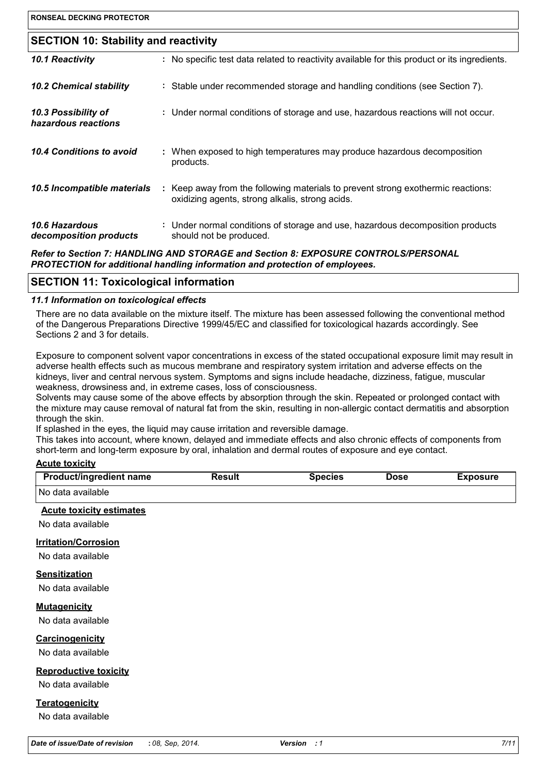| <b>RONSEAL DECKING PROTECTOR</b>            |                                                                                                                                     |
|---------------------------------------------|-------------------------------------------------------------------------------------------------------------------------------------|
|                                             |                                                                                                                                     |
| <b>SECTION 10: Stability and reactivity</b> |                                                                                                                                     |
| 10.1 Reactivity                             | : No specific test data related to reactivity available for this product or its ingredients.                                        |
| <b>10.2 Chemical stability</b>              | : Stable under recommended storage and handling conditions (see Section 7).                                                         |
| 10.3 Possibility of<br>hazardous reactions  | : Under normal conditions of storage and use, hazardous reactions will not occur.                                                   |
| 10.4 Conditions to avoid                    | : When exposed to high temperatures may produce hazardous decomposition<br>products.                                                |
| 10.5 Incompatible materials                 | : Keep away from the following materials to prevent strong exothermic reactions:<br>oxidizing agents, strong alkalis, strong acids. |
| 10.6 Hazardous<br>decomposition products    | : Under normal conditions of storage and use, hazardous decomposition products<br>should not be produced.                           |
|                                             | Bafaille Baallain 7. HANDLING AND CTOBAOF and Baallain B. FVBOOUDE CONTROL CIRERCONAL                                               |

*Refer to Section 7: HANDLING AND STORAGE and Section 8: EXPOSURE CONTROLS/PERSONAL PROTECTION for additional handling information and protection of employees.*

# **SECTION 11: Toxicological information**

#### *11.1 Information on toxicological effects*

There are no data available on the mixture itself. The mixture has been assessed following the conventional method of the Dangerous Preparations Directive 1999/45/EC and classified for toxicological hazards accordingly. See Sections 2 and 3 for details.

Exposure to component solvent vapor concentrations in excess of the stated occupational exposure limit may result in adverse health effects such as mucous membrane and respiratory system irritation and adverse effects on the kidneys, liver and central nervous system. Symptoms and signs include headache, dizziness, fatigue, muscular weakness, drowsiness and, in extreme cases, loss of consciousness.

Solvents may cause some of the above effects by absorption through the skin. Repeated or prolonged contact with the mixture may cause removal of natural fat from the skin, resulting in non-allergic contact dermatitis and absorption through the skin.

If splashed in the eyes, the liquid may cause irritation and reversible damage.

This takes into account, where known, delayed and immediate effects and also chronic effects of components from short-term and long-term exposure by oral, inhalation and dermal routes of exposure and eye contact.

#### **Acute toxicity**

| <b>Product/ingredient name</b> | Result | Species | Dose | Exposure |
|--------------------------------|--------|---------|------|----------|
| No data available              |        |         |      |          |

#### **Acute toxicity estimates**

No data available

#### **Irritation/Corrosion**

No data available

### **Sensitization**

No data available

#### **Mutagenicity**

No data available

#### **Carcinogenicity**

No data available

#### **Reproductive toxicity**

No data available

#### **Teratogenicity**

No data available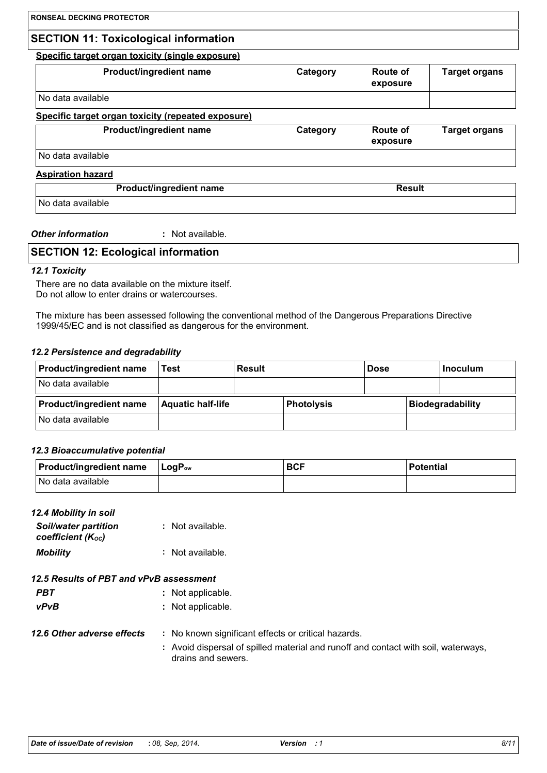# **SECTION 11: Toxicological information**

# **Specific target organ toxicity (single exposure)**

| <b>Product/ingredient name</b>                     | Category | Route of<br>exposure        | <b>Target organs</b> |
|----------------------------------------------------|----------|-----------------------------|----------------------|
| No data available                                  |          |                             |                      |
| Specific target organ toxicity (repeated exposure) |          |                             |                      |
| Product/ingredient name                            | Category | <b>Route of</b><br>exposure | <b>Target organs</b> |
| No data available                                  |          |                             |                      |
| <b>Aspiration hazard</b>                           |          |                             |                      |
| Product/ingredient name                            |          | <b>Result</b>               |                      |
| No data available                                  |          |                             |                      |

#### *Other information* **:** : Not available.

# **SECTION 12: Ecological information**

#### *12.1 Toxicity*

There are no data available on the mixture itself. Do not allow to enter drains or watercourses.

The mixture has been assessed following the conventional method of the Dangerous Preparations Directive 1999/45/EC and is not classified as dangerous for the environment.

#### *12.2 Persistence and degradability*

| <b>Product/ingredient name</b> | Test                     | Result |                   | <b>Dose</b> | l Inoculum       |
|--------------------------------|--------------------------|--------|-------------------|-------------|------------------|
| INo data available             |                          |        |                   |             |                  |
| <b>Product/ingredient name</b> | <b>Aquatic half-life</b> |        | <b>Photolysis</b> |             | Biodegradability |
| No data available              |                          |        |                   |             |                  |

#### *12.3 Bioaccumulative potential*

| <b>Product/ingredient name</b> | $\mathsf{LogP}_\mathsf{ow}$ | <b>BCF</b> | <b>Potential</b> |
|--------------------------------|-----------------------------|------------|------------------|
| No data available              |                             |            |                  |

#### *12.4 Mobility in soil*

| <b>Soil/water partition</b><br>coefficient (Koc) | : Not available. |
|--------------------------------------------------|------------------|
| <b>Mobility</b>                                  | : Not available. |

# *12.5 Results of PBT and vPvB assessment*

| PBT | : Not applicable. |
|-----|-------------------|
|     |                   |

- *vPvB* **:** Not applicable.
- **12.6 Other adverse effects** : No known significant effects or critical hazards. **:** Avoid dispersal of spilled material and runoff and contact with soil, waterways,
	- drains and sewers.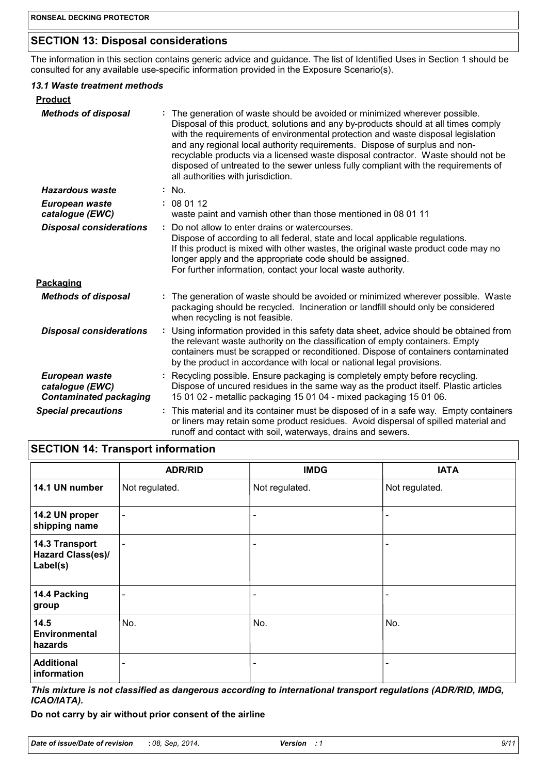# **SECTION 13: Disposal considerations**

The information in this section contains generic advice and guidance. The list of Identified Uses in Section 1 should be consulted for any available use-specific information provided in the Exposure Scenario(s).

#### *13.1 Waste treatment methods*

| <b>Product</b>                                                     |                                                                                                                                                                                                                                                                                                                                                                                                                                                                                                                                                    |
|--------------------------------------------------------------------|----------------------------------------------------------------------------------------------------------------------------------------------------------------------------------------------------------------------------------------------------------------------------------------------------------------------------------------------------------------------------------------------------------------------------------------------------------------------------------------------------------------------------------------------------|
| <b>Methods of disposal</b>                                         | The generation of waste should be avoided or minimized wherever possible.<br>Disposal of this product, solutions and any by-products should at all times comply<br>with the requirements of environmental protection and waste disposal legislation<br>and any regional local authority requirements. Dispose of surplus and non-<br>recyclable products via a licensed waste disposal contractor. Waste should not be<br>disposed of untreated to the sewer unless fully compliant with the requirements of<br>all authorities with jurisdiction. |
| <b>Hazardous waste</b>                                             | : No.                                                                                                                                                                                                                                                                                                                                                                                                                                                                                                                                              |
| European waste<br>catalogue (EWC)                                  | : 080112<br>waste paint and varnish other than those mentioned in 08 01 11                                                                                                                                                                                                                                                                                                                                                                                                                                                                         |
| <b>Disposal considerations</b>                                     | Do not allow to enter drains or watercourses.<br>÷<br>Dispose of according to all federal, state and local applicable regulations.<br>If this product is mixed with other wastes, the original waste product code may no<br>longer apply and the appropriate code should be assigned.<br>For further information, contact your local waste authority.                                                                                                                                                                                              |
| Packaging                                                          |                                                                                                                                                                                                                                                                                                                                                                                                                                                                                                                                                    |
| <b>Methods of disposal</b>                                         | : The generation of waste should be avoided or minimized wherever possible. Waste<br>packaging should be recycled. Incineration or landfill should only be considered<br>when recycling is not feasible.                                                                                                                                                                                                                                                                                                                                           |
| <b>Disposal considerations</b>                                     | Using information provided in this safety data sheet, advice should be obtained from<br>÷<br>the relevant waste authority on the classification of empty containers. Empty<br>containers must be scrapped or reconditioned. Dispose of containers contaminated<br>by the product in accordance with local or national legal provisions.                                                                                                                                                                                                            |
| European waste<br>catalogue (EWC)<br><b>Contaminated packaging</b> | Recycling possible. Ensure packaging is completely empty before recycling.<br>Dispose of uncured residues in the same way as the product itself. Plastic articles<br>15 01 02 - metallic packaging 15 01 04 - mixed packaging 15 01 06.                                                                                                                                                                                                                                                                                                            |
| <b>Special precautions</b>                                         | This material and its container must be disposed of in a safe way. Empty containers<br>÷.<br>or liners may retain some product residues. Avoid dispersal of spilled material and<br>runoff and contact with soil, waterways, drains and sewers.                                                                                                                                                                                                                                                                                                    |

# **SECTION 14: Transport information**

|                                                        | <b>ADR/RID</b> | <b>IMDG</b>              | <b>IATA</b>    |
|--------------------------------------------------------|----------------|--------------------------|----------------|
| 14.1 UN number                                         | Not regulated. | Not regulated.           | Not regulated. |
| 14.2 UN proper<br>shipping name                        | $\blacksquare$ | $\overline{\phantom{0}}$ |                |
| 14.3 Transport<br><b>Hazard Class(es)/</b><br>Label(s) | $\blacksquare$ |                          |                |
| 14.4 Packing<br>group                                  |                | $\blacksquare$           |                |
| 14.5<br><b>Environmental</b><br>hazards                | No.            | No.                      | No.            |
| <b>Additional</b><br>information                       | $\blacksquare$ | $\overline{\phantom{a}}$ |                |

*This mixture is not classified as dangerous according to international transport regulations (ADR/RID, IMDG, ICAO/IATA).*

**Do not carry by air without prior consent of the airline**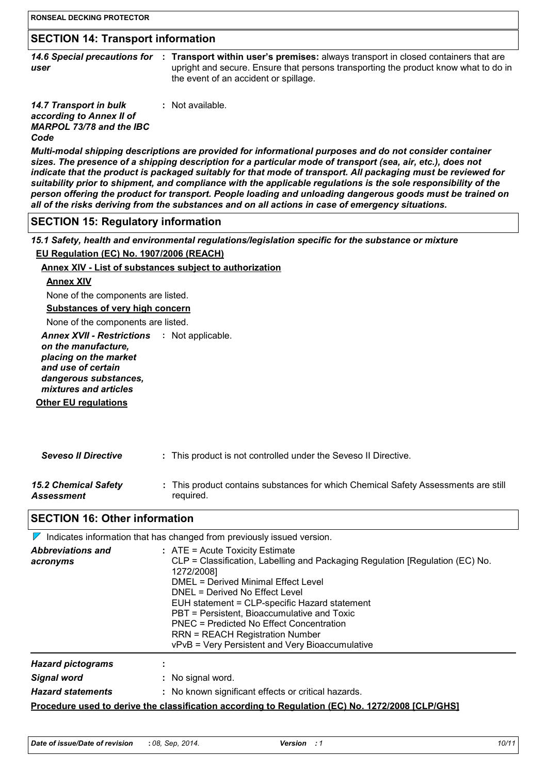# **SECTION 14: Transport information**

|      | 14.6 Special preca |  |
|------|--------------------|--|
| user |                    |  |

14.6 Special precautions for : Transport within user's premises: always transport in closed containers that are upright and secure. Ensure that persons transporting the product know what to do in the event of an accident or spillage.

*14.7 Transport in bulk according to Annex II of MARPOL 73/78 and the IBC Code* **:** Not available.

*Multi-modal shipping descriptions are provided for informational purposes and do not consider container sizes. The presence of a shipping description for a particular mode of transport (sea, air, etc.), does not indicate that the product is packaged suitably for that mode of transport. All packaging must be reviewed for suitability prior to shipment, and compliance with the applicable regulations is the sole responsibility of the person offering the product for transport. People loading and unloading dangerous goods must be trained on all of the risks deriving from the substances and on all actions in case of emergency situations.*

#### **SECTION 15: Regulatory information**

*15.1 Safety, health and environmental regulations/legislation specific for the substance or mixture* **EU Regulation (EC) No. 1907/2006 (REACH)**

#### **Annex XIV - List of substances subject to authorization**

#### **Annex XIV**

None of the components are listed.

#### **Substances of very high concern**

None of the components are listed.

Annex XVII - Restrictions : Not applicable.

*on the manufacture, placing on the market* 

*and use of certain dangerous substances,*

*mixtures and articles*

**Other EU regulations**

| <b>Seveso II Directive</b> |  | This product is not controlled under the Seveso II Directive. |
|----------------------------|--|---------------------------------------------------------------|
|----------------------------|--|---------------------------------------------------------------|

*15.2 Chemical Safety Assessment*

This product contains substances for which Chemical Safety Assessments are still **:** required.

### **SECTION 16: Other information**

| $\mathbb{Z}$                         | Indicates information that has changed from previously issued version.                                                                                                                                                                                                                                                                                                                                                                             |
|--------------------------------------|----------------------------------------------------------------------------------------------------------------------------------------------------------------------------------------------------------------------------------------------------------------------------------------------------------------------------------------------------------------------------------------------------------------------------------------------------|
| <b>Abbreviations and</b><br>acronyms | $:$ ATE = Acute Toxicity Estimate<br>CLP = Classification, Labelling and Packaging Regulation [Regulation (EC) No.<br>1272/2008]<br>DMEL = Derived Minimal Effect Level<br>DNEL = Derived No Effect Level<br>EUH statement = CLP-specific Hazard statement<br>PBT = Persistent, Bioaccumulative and Toxic<br>PNEC = Predicted No Effect Concentration<br><b>RRN = REACH Registration Number</b><br>vPvB = Very Persistent and Very Bioaccumulative |
| <b>Hazard pictograms</b>             |                                                                                                                                                                                                                                                                                                                                                                                                                                                    |
| <b>Signal word</b>                   | : No signal word.                                                                                                                                                                                                                                                                                                                                                                                                                                  |
| <b>Hazard statements</b>             | : No known significant effects or critical hazards.                                                                                                                                                                                                                                                                                                                                                                                                |
|                                      | <u>Procedure used to derive the classification according to Regulation (EC) No. 1272/2008 [CLP/GHS]</u>                                                                                                                                                                                                                                                                                                                                            |